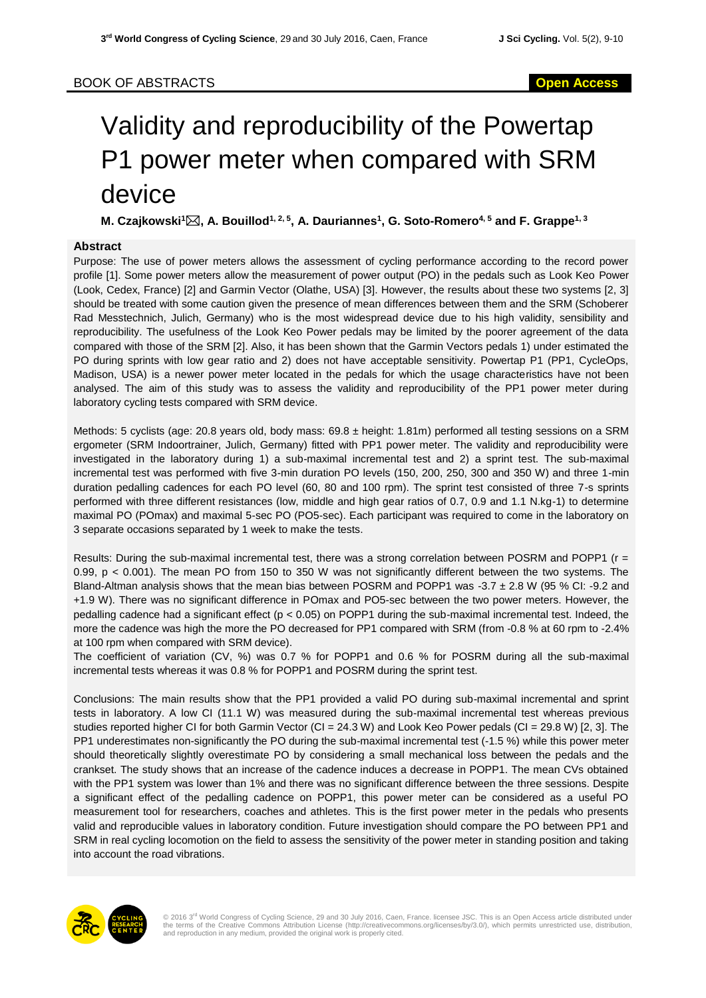## Validity and reproducibility of the Powertap P1 power meter when compared with SRM device

**M. Czajkowski<sup>1</sup>, A. Bouillod1, 2, 5, A. Dauriannes<sup>1</sup> , G. Soto-Romero4, 5 and F. Grappe1, 3**

## **Abstract**

Purpose: The use of power meters allows the assessment of cycling performance according to the record power profile [1]. Some power meters allow the measurement of power output (PO) in the pedals such as Look Keo Power (Look, Cedex, France) [2] and Garmin Vector (Olathe, USA) [3]. However, the results about these two systems [2, 3] should be treated with some caution given the presence of mean differences between them and the SRM (Schoberer Rad Messtechnich, Julich, Germany) who is the most widespread device due to his high validity, sensibility and reproducibility. The usefulness of the Look Keo Power pedals may be limited by the poorer agreement of the data compared with those of the SRM [2]. Also, it has been shown that the Garmin Vectors pedals 1) under estimated the PO during sprints with low gear ratio and 2) does not have acceptable sensitivity. Powertap P1 (PP1, CycleOps, Madison, USA) is a newer power meter located in the pedals for which the usage characteristics have not been analysed. The aim of this study was to assess the validity and reproducibility of the PP1 power meter during laboratory cycling tests compared with SRM device.

Methods: 5 cyclists (age: 20.8 years old, body mass: 69.8 ± height: 1.81m) performed all testing sessions on a SRM ergometer (SRM Indoortrainer, Julich, Germany) fitted with PP1 power meter. The validity and reproducibility were investigated in the laboratory during 1) a sub-maximal incremental test and 2) a sprint test. The sub-maximal incremental test was performed with five 3-min duration PO levels (150, 200, 250, 300 and 350 W) and three 1-min duration pedalling cadences for each PO level (60, 80 and 100 rpm). The sprint test consisted of three 7-s sprints performed with three different resistances (low, middle and high gear ratios of 0.7, 0.9 and 1.1 N.kg-1) to determine maximal PO (POmax) and maximal 5-sec PO (PO5-sec). Each participant was required to come in the laboratory on 3 separate occasions separated by 1 week to make the tests.

Results: During the sub-maximal incremental test, there was a strong correlation between POSRM and POPP1 (r = 0.99, p < 0.001). The mean PO from 150 to 350 W was not significantly different between the two systems. The Bland-Altman analysis shows that the mean bias between POSRM and POPP1 was -3.7 ± 2.8 W (95 % CI: -9.2 and +1.9 W). There was no significant difference in POmax and PO5-sec between the two power meters. However, the pedalling cadence had a significant effect (p < 0.05) on POPP1 during the sub-maximal incremental test. Indeed, the more the cadence was high the more the PO decreased for PP1 compared with SRM (from -0.8 % at 60 rpm to -2.4% at 100 rpm when compared with SRM device).

The coefficient of variation (CV, %) was 0.7 % for POPP1 and 0.6 % for POSRM during all the sub-maximal incremental tests whereas it was 0.8 % for POPP1 and POSRM during the sprint test.

Conclusions: The main results show that the PP1 provided a valid PO during sub-maximal incremental and sprint tests in laboratory. A low CI (11.1 W) was measured during the sub-maximal incremental test whereas previous studies reported higher CI for both Garmin Vector (CI = 24.3 W) and Look Keo Power pedals (CI = 29.8 W) [2, 3]. The PP1 underestimates non-significantly the PO during the sub-maximal incremental test (-1.5 %) while this power meter should theoretically slightly overestimate PO by considering a small mechanical loss between the pedals and the crankset. The study shows that an increase of the cadence induces a decrease in POPP1. The mean CVs obtained with the PP1 system was lower than 1% and there was no significant difference between the three sessions. Despite a significant effect of the pedalling cadence on POPP1, this power meter can be considered as a useful PO measurement tool for researchers, coaches and athletes. This is the first power meter in the pedals who presents valid and reproducible values in laboratory condition. Future investigation should compare the PO between PP1 and SRM in real cycling locomotion on the field to assess the sensitivity of the power meter in standing position and taking into account the road vibrations.



© 2016 3<sup>rd</sup> World Congress of Cycling Science, 29 and 30 July 2016, Caen, France. licensee JSC. This is an Open Access article distributed under<br>the terms of the Creative Commons Attribution License (http://creativecommon and reproduction in any medium, provided the original work is properly cited.